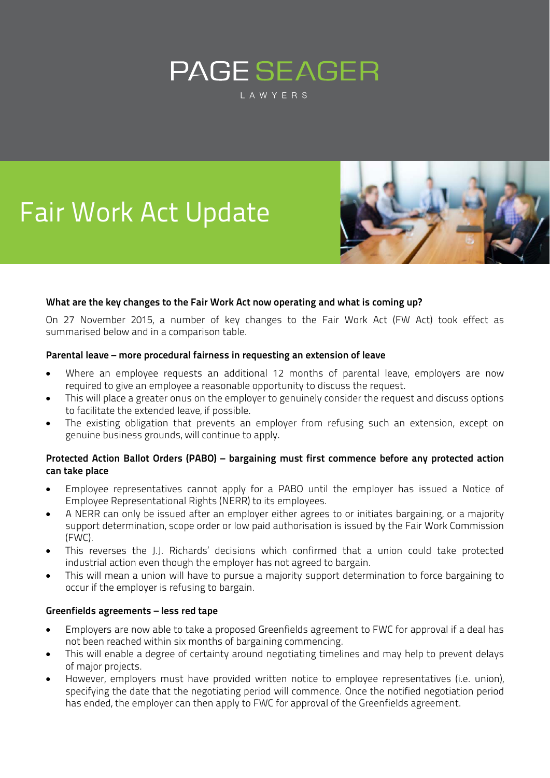# **PAGE SEAGER** LAWYERS

# Fair Work Act Update



### **What are the key changes to the Fair Work Act now operating and what is coming up?**

On 27 November 2015, a number of key changes to the Fair Work Act (FW Act) took effect as summarised below and in a comparison table.

#### **Parental leave – more procedural fairness in requesting an extension of leave**

- Where an employee requests an additional 12 months of parental leave, employers are now required to give an employee a reasonable opportunity to discuss the request.
- This will place a greater onus on the employer to genuinely consider the request and discuss options to facilitate the extended leave, if possible.
- The existing obligation that prevents an employer from refusing such an extension, except on genuine business grounds, will continue to apply.

#### **Protected Action Ballot Orders (PABO) – bargaining must first commence before any protected action can take place**

- Employee representatives cannot apply for a PABO until the employer has issued a Notice of Employee Representational Rights (NERR) to its employees.
- A NERR can only be issued after an employer either agrees to or initiates bargaining, or a majority support determination, scope order or low paid authorisation is issued by the Fair Work Commission (FWC).
- This reverses the J.J. Richards' decisions which confirmed that a union could take protected industrial action even though the employer has not agreed to bargain.
- This will mean a union will have to pursue a majority support determination to force bargaining to occur if the employer is refusing to bargain.

#### **Greenfields agreements – less red tape**

- Employers are now able to take a proposed Greenfields agreement to FWC for approval if a deal has not been reached within six months of bargaining commencing.
- This will enable a degree of certainty around negotiating timelines and may help to prevent delays of major projects.
- However, employers must have provided written notice to employee representatives (i.e. union), specifying the date that the negotiating period will commence. Once the notified negotiation period has ended, the employer can then apply to FWC for approval of the Greenfields agreement.